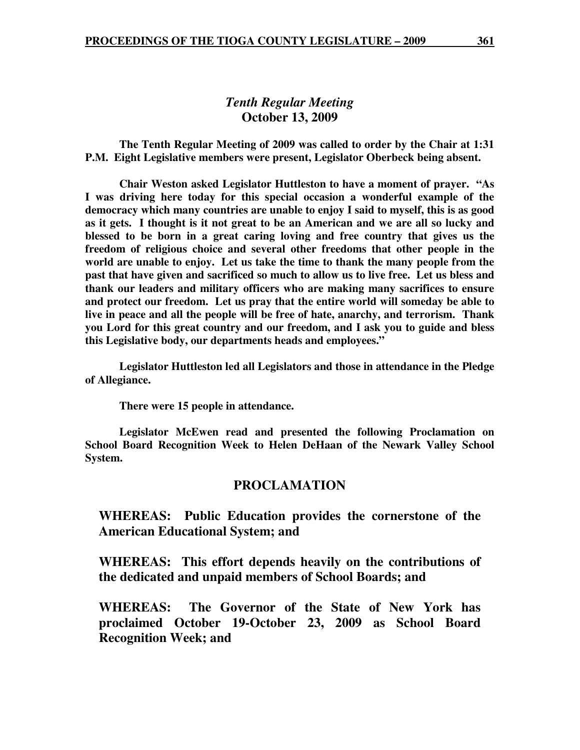# *Tenth Regular Meeting*  **October 13, 2009**

 **The Tenth Regular Meeting of 2009 was called to order by the Chair at 1:31 P.M. Eight Legislative members were present, Legislator Oberbeck being absent.** 

**Chair Weston asked Legislator Huttleston to have a moment of prayer. "As I was driving here today for this special occasion a wonderful example of the democracy which many countries are unable to enjoy I said to myself, this is as good as it gets. I thought is it not great to be an American and we are all so lucky and blessed to be born in a great caring loving and free country that gives us the freedom of religious choice and several other freedoms that other people in the world are unable to enjoy. Let us take the time to thank the many people from the past that have given and sacrificed so much to allow us to live free. Let us bless and thank our leaders and military officers who are making many sacrifices to ensure and protect our freedom. Let us pray that the entire world will someday be able to live in peace and all the people will be free of hate, anarchy, and terrorism. Thank you Lord for this great country and our freedom, and I ask you to guide and bless this Legislative body, our departments heads and employees."** 

 **Legislator Huttleston led all Legislators and those in attendance in the Pledge of Allegiance.** 

 **There were 15 people in attendance.** 

 **Legislator McEwen read and presented the following Proclamation on School Board Recognition Week to Helen DeHaan of the Newark Valley School System.** 

# **PROCLAMATION**

**WHEREAS: Public Education provides the cornerstone of the American Educational System; and** 

**WHEREAS: This effort depends heavily on the contributions of the dedicated and unpaid members of School Boards; and** 

**WHEREAS: The Governor of the State of New York has proclaimed October 19-October 23, 2009 as School Board Recognition Week; and**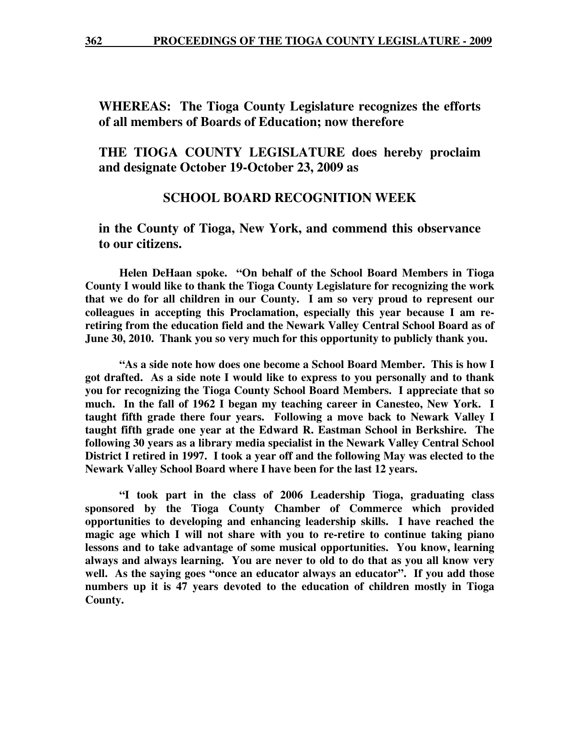**362 PROCEEDINGS OF THE TIOGA COUNTY LEGISLATURE - 2009**

**WHEREAS: The Tioga County Legislature recognizes the efforts of all members of Boards of Education; now therefore** 

**THE TIOGA COUNTY LEGISLATURE does hereby proclaim and designate October 19-October 23, 2009 as** 

# **SCHOOL BOARD RECOGNITION WEEK**

**in the County of Tioga, New York, and commend this observance to our citizens.** 

 **Helen DeHaan spoke. "On behalf of the School Board Members in Tioga County I would like to thank the Tioga County Legislature for recognizing the work that we do for all children in our County. I am so very proud to represent our colleagues in accepting this Proclamation, especially this year because I am reretiring from the education field and the Newark Valley Central School Board as of June 30, 2010. Thank you so very much for this opportunity to publicly thank you.** 

 **"As a side note how does one become a School Board Member. This is how I got drafted. As a side note I would like to express to you personally and to thank you for recognizing the Tioga County School Board Members. I appreciate that so much. In the fall of 1962 I began my teaching career in Canesteo, New York. I taught fifth grade there four years. Following a move back to Newark Valley I taught fifth grade one year at the Edward R. Eastman School in Berkshire. The following 30 years as a library media specialist in the Newark Valley Central School District I retired in 1997. I took a year off and the following May was elected to the Newark Valley School Board where I have been for the last 12 years.** 

 **"I took part in the class of 2006 Leadership Tioga, graduating class sponsored by the Tioga County Chamber of Commerce which provided opportunities to developing and enhancing leadership skills. I have reached the magic age which I will not share with you to re-retire to continue taking piano lessons and to take advantage of some musical opportunities. You know, learning always and always learning. You are never to old to do that as you all know very well. As the saying goes "once an educator always an educator". If you add those numbers up it is 47 years devoted to the education of children mostly in Tioga County.**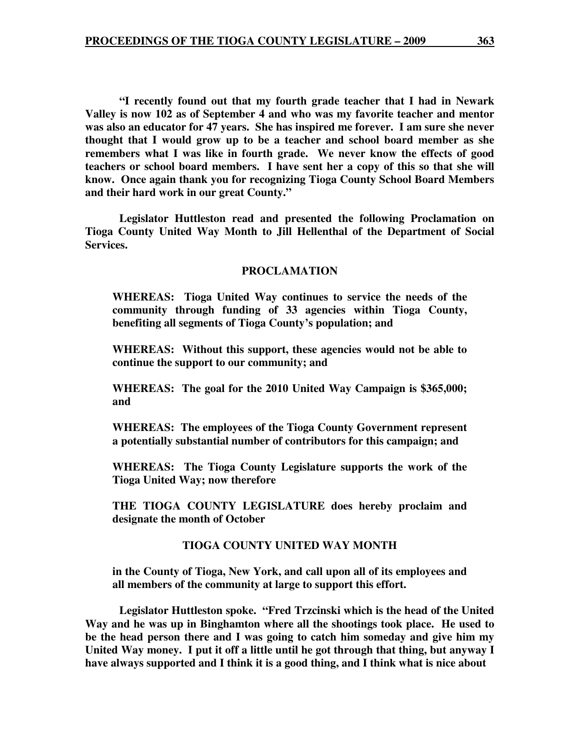**"I recently found out that my fourth grade teacher that I had in Newark Valley is now 102 as of September 4 and who was my favorite teacher and mentor was also an educator for 47 years. She has inspired me forever. I am sure she never thought that I would grow up to be a teacher and school board member as she remembers what I was like in fourth grade. We never know the effects of good teachers or school board members. I have sent her a copy of this so that she will know. Once again thank you for recognizing Tioga County School Board Members and their hard work in our great County."** 

 **Legislator Huttleston read and presented the following Proclamation on Tioga County United Way Month to Jill Hellenthal of the Department of Social Services.** 

#### **PROCLAMATION**

**WHEREAS: Tioga United Way continues to service the needs of the community through funding of 33 agencies within Tioga County, benefiting all segments of Tioga County's population; and** 

**WHEREAS: Without this support, these agencies would not be able to continue the support to our community; and** 

**WHEREAS: The goal for the 2010 United Way Campaign is \$365,000; and** 

**WHEREAS: The employees of the Tioga County Government represent a potentially substantial number of contributors for this campaign; and** 

**WHEREAS: The Tioga County Legislature supports the work of the Tioga United Way; now therefore** 

**THE TIOGA COUNTY LEGISLATURE does hereby proclaim and designate the month of October** 

#### **TIOGA COUNTY UNITED WAY MONTH**

**in the County of Tioga, New York, and call upon all of its employees and all members of the community at large to support this effort.** 

 **Legislator Huttleston spoke. "Fred Trzcinski which is the head of the United Way and he was up in Binghamton where all the shootings took place. He used to be the head person there and I was going to catch him someday and give him my United Way money. I put it off a little until he got through that thing, but anyway I have always supported and I think it is a good thing, and I think what is nice about**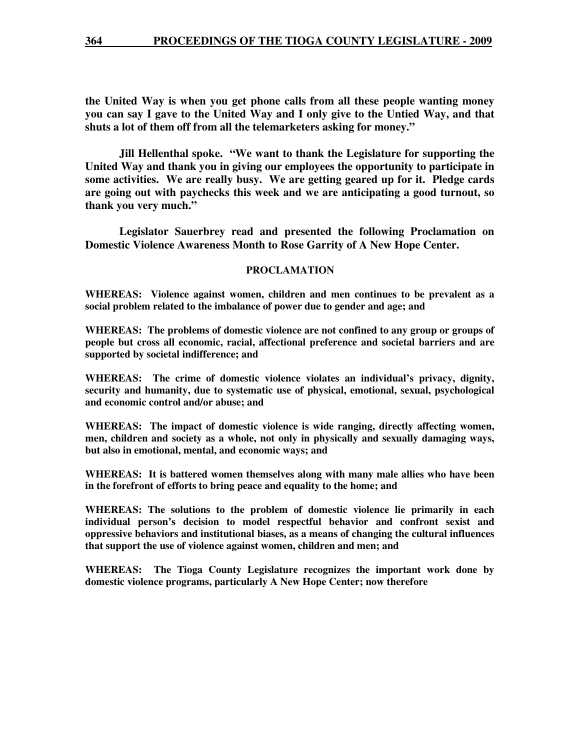**the United Way is when you get phone calls from all these people wanting money you can say I gave to the United Way and I only give to the Untied Way, and that shuts a lot of them off from all the telemarketers asking for money."** 

 **Jill Hellenthal spoke. "We want to thank the Legislature for supporting the United Way and thank you in giving our employees the opportunity to participate in some activities. We are really busy. We are getting geared up for it. Pledge cards are going out with paychecks this week and we are anticipating a good turnout, so thank you very much."** 

 **Legislator Sauerbrey read and presented the following Proclamation on Domestic Violence Awareness Month to Rose Garrity of A New Hope Center.** 

#### **PROCLAMATION**

**WHEREAS: Violence against women, children and men continues to be prevalent as a social problem related to the imbalance of power due to gender and age; and** 

**WHEREAS: The problems of domestic violence are not confined to any group or groups of people but cross all economic, racial, affectional preference and societal barriers and are supported by societal indifference; and** 

**WHEREAS: The crime of domestic violence violates an individual's privacy, dignity, security and humanity, due to systematic use of physical, emotional, sexual, psychological and economic control and/or abuse; and** 

**WHEREAS: The impact of domestic violence is wide ranging, directly affecting women, men, children and society as a whole, not only in physically and sexually damaging ways, but also in emotional, mental, and economic ways; and** 

**WHEREAS: It is battered women themselves along with many male allies who have been in the forefront of efforts to bring peace and equality to the home; and** 

**WHEREAS: The solutions to the problem of domestic violence lie primarily in each individual person's decision to model respectful behavior and confront sexist and oppressive behaviors and institutional biases, as a means of changing the cultural influences that support the use of violence against women, children and men; and** 

**WHEREAS: The Tioga County Legislature recognizes the important work done by domestic violence programs, particularly A New Hope Center; now therefore**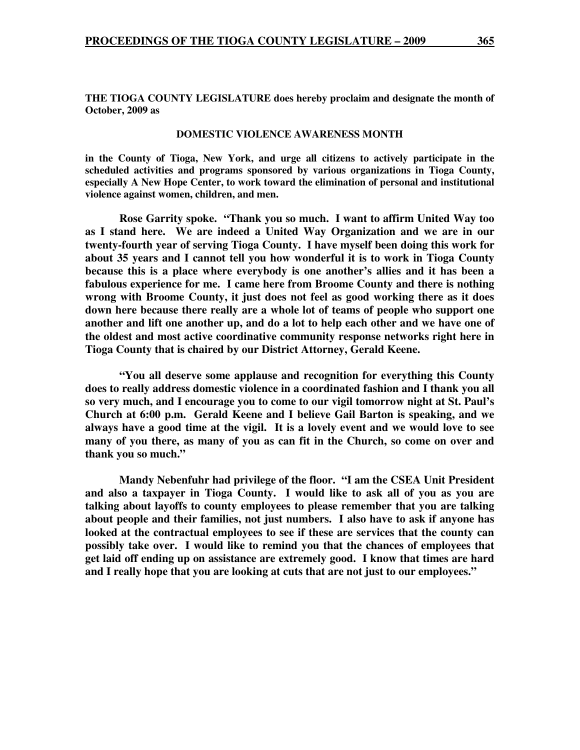**THE TIOGA COUNTY LEGISLATURE does hereby proclaim and designate the month of October, 2009 as** 

#### **DOMESTIC VIOLENCE AWARENESS MONTH**

**in the County of Tioga, New York, and urge all citizens to actively participate in the scheduled activities and programs sponsored by various organizations in Tioga County, especially A New Hope Center, to work toward the elimination of personal and institutional violence against women, children, and men.** 

 **Rose Garrity spoke. "Thank you so much. I want to affirm United Way too as I stand here. We are indeed a United Way Organization and we are in our twenty-fourth year of serving Tioga County. I have myself been doing this work for about 35 years and I cannot tell you how wonderful it is to work in Tioga County because this is a place where everybody is one another's allies and it has been a fabulous experience for me. I came here from Broome County and there is nothing wrong with Broome County, it just does not feel as good working there as it does down here because there really are a whole lot of teams of people who support one another and lift one another up, and do a lot to help each other and we have one of the oldest and most active coordinative community response networks right here in Tioga County that is chaired by our District Attorney, Gerald Keene.** 

**"You all deserve some applause and recognition for everything this County does to really address domestic violence in a coordinated fashion and I thank you all so very much, and I encourage you to come to our vigil tomorrow night at St. Paul's Church at 6:00 p.m. Gerald Keene and I believe Gail Barton is speaking, and we always have a good time at the vigil. It is a lovely event and we would love to see many of you there, as many of you as can fit in the Church, so come on over and thank you so much."** 

 **Mandy Nebenfuhr had privilege of the floor. "I am the CSEA Unit President and also a taxpayer in Tioga County. I would like to ask all of you as you are talking about layoffs to county employees to please remember that you are talking about people and their families, not just numbers. I also have to ask if anyone has looked at the contractual employees to see if these are services that the county can possibly take over. I would like to remind you that the chances of employees that get laid off ending up on assistance are extremely good. I know that times are hard and I really hope that you are looking at cuts that are not just to our employees."**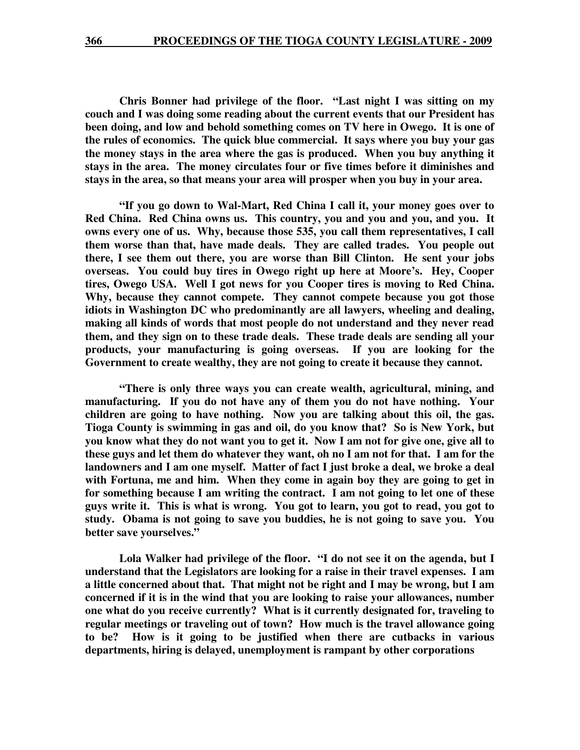**Chris Bonner had privilege of the floor. "Last night I was sitting on my couch and I was doing some reading about the current events that our President has been doing, and low and behold something comes on TV here in Owego. It is one of the rules of economics. The quick blue commercial. It says where you buy your gas the money stays in the area where the gas is produced. When you buy anything it stays in the area. The money circulates four or five times before it diminishes and stays in the area, so that means your area will prosper when you buy in your area.** 

 **"If you go down to Wal-Mart, Red China I call it, your money goes over to Red China. Red China owns us. This country, you and you and you, and you. It owns every one of us. Why, because those 535, you call them representatives, I call them worse than that, have made deals. They are called trades. You people out there, I see them out there, you are worse than Bill Clinton. He sent your jobs overseas. You could buy tires in Owego right up here at Moore's. Hey, Cooper tires, Owego USA. Well I got news for you Cooper tires is moving to Red China. Why, because they cannot compete. They cannot compete because you got those idiots in Washington DC who predominantly are all lawyers, wheeling and dealing, making all kinds of words that most people do not understand and they never read them, and they sign on to these trade deals. These trade deals are sending all your products, your manufacturing is going overseas. If you are looking for the Government to create wealthy, they are not going to create it because they cannot.** 

 **"There is only three ways you can create wealth, agricultural, mining, and manufacturing. If you do not have any of them you do not have nothing. Your children are going to have nothing. Now you are talking about this oil, the gas. Tioga County is swimming in gas and oil, do you know that? So is New York, but you know what they do not want you to get it. Now I am not for give one, give all to these guys and let them do whatever they want, oh no I am not for that. I am for the landowners and I am one myself. Matter of fact I just broke a deal, we broke a deal with Fortuna, me and him. When they come in again boy they are going to get in for something because I am writing the contract. I am not going to let one of these guys write it. This is what is wrong. You got to learn, you got to read, you got to study. Obama is not going to save you buddies, he is not going to save you. You better save yourselves."** 

 **Lola Walker had privilege of the floor. "I do not see it on the agenda, but I understand that the Legislators are looking for a raise in their travel expenses. I am a little concerned about that. That might not be right and I may be wrong, but I am concerned if it is in the wind that you are looking to raise your allowances, number one what do you receive currently? What is it currently designated for, traveling to regular meetings or traveling out of town? How much is the travel allowance going to be? How is it going to be justified when there are cutbacks in various departments, hiring is delayed, unemployment is rampant by other corporations**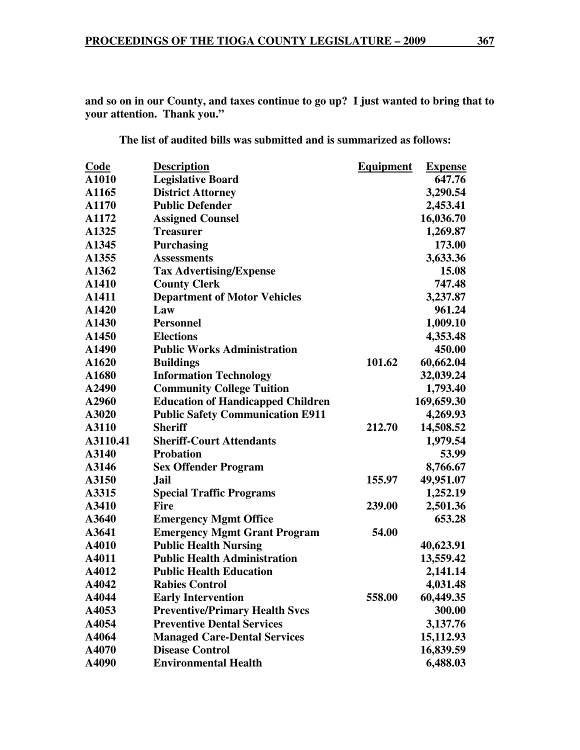**and so on in our County, and taxes continue to go up? I just wanted to bring that to your attention. Thank you."** 

**The list of audited bills was submitted and is summarized as follows:** 

| <b>Code</b> | <b>Description</b>                       | <b>Equipment</b> | <b>Expense</b> |
|-------------|------------------------------------------|------------------|----------------|
| A1010       | <b>Legislative Board</b>                 |                  | 647.76         |
| A1165       | <b>District Attorney</b>                 |                  | 3,290.54       |
| A1170       | <b>Public Defender</b>                   |                  | 2,453.41       |
| A1172       | <b>Assigned Counsel</b>                  |                  | 16,036.70      |
| A1325       | <b>Treasurer</b>                         |                  | 1,269.87       |
| A1345       | <b>Purchasing</b>                        |                  | 173.00         |
| A1355       | <b>Assessments</b>                       |                  | 3,633.36       |
| A1362       | <b>Tax Advertising/Expense</b>           |                  | 15.08          |
| A1410       | <b>County Clerk</b>                      |                  | 747.48         |
| A1411       | <b>Department of Motor Vehicles</b>      |                  | 3,237.87       |
| A1420       | Law                                      |                  | 961.24         |
| A1430       | <b>Personnel</b>                         |                  | 1,009.10       |
| A1450       | <b>Elections</b>                         |                  | 4,353.48       |
| A1490       | <b>Public Works Administration</b>       |                  | 450.00         |
| A1620       | <b>Buildings</b>                         | 101.62           | 60,662.04      |
| A1680       | <b>Information Technology</b>            |                  | 32,039.24      |
| A2490       | <b>Community College Tuition</b>         |                  | 1,793.40       |
| A2960       | <b>Education of Handicapped Children</b> |                  | 169,659.30     |
| A3020       | <b>Public Safety Communication E911</b>  |                  | 4,269.93       |
| A3110       | <b>Sheriff</b>                           | 212.70           | 14,508.52      |
| A3110.41    | <b>Sheriff-Court Attendants</b>          |                  | 1,979.54       |
| A3140       | <b>Probation</b>                         |                  | 53.99          |
| A3146       | <b>Sex Offender Program</b>              |                  | 8,766.67       |
| A3150       | Jail                                     | 155.97           | 49,951.07      |
| A3315       | <b>Special Traffic Programs</b>          |                  | 1,252.19       |
| A3410       | <b>Fire</b>                              | 239.00           | 2,501.36       |
| A3640       | <b>Emergency Mgmt Office</b>             |                  | 653.28         |
| A3641       | <b>Emergency Mgmt Grant Program</b>      | 54.00            |                |
| A4010       | <b>Public Health Nursing</b>             |                  | 40,623.91      |
| A4011       | <b>Public Health Administration</b>      |                  | 13,559.42      |
| A4012       | <b>Public Health Education</b>           |                  | 2,141.14       |
| A4042       | <b>Rabies Control</b>                    |                  | 4,031.48       |
| A4044       | <b>Early Intervention</b>                | 558.00           | 60,449.35      |
| A4053       | <b>Preventive/Primary Health Svcs</b>    |                  | 300.00         |
| A4054       | <b>Preventive Dental Services</b>        |                  | 3,137.76       |
| A4064       | <b>Managed Care-Dental Services</b>      |                  | 15,112.93      |
| A4070       | <b>Disease Control</b>                   |                  | 16,839.59      |
| A4090       | <b>Environmental Health</b>              |                  | 6,488.03       |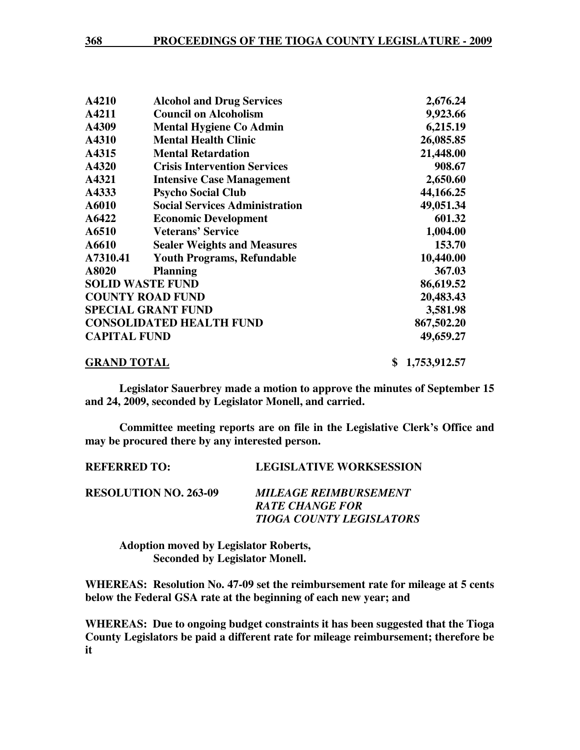| A4210               | <b>Alcohol and Drug Services</b>      | 2,676.24           |
|---------------------|---------------------------------------|--------------------|
| A4211               | <b>Council on Alcoholism</b>          | 9,923.66           |
| A4309               | <b>Mental Hygiene Co Admin</b>        | 6,215.19           |
| A4310               | <b>Mental Health Clinic</b>           | 26,085.85          |
| A4315               | <b>Mental Retardation</b>             | 21,448.00          |
| A4320               | <b>Crisis Intervention Services</b>   | 908.67             |
| A4321               | <b>Intensive Case Management</b>      | 2,650.60           |
| A4333               | <b>Psycho Social Club</b>             | 44,166.25          |
| A6010               | <b>Social Services Administration</b> | 49,051.34          |
| A6422               | <b>Economic Development</b>           | 601.32             |
| A6510               | <b>Veterans' Service</b>              | 1,004.00           |
| A6610               | <b>Sealer Weights and Measures</b>    | 153.70             |
| A7310.41            | <b>Youth Programs, Refundable</b>     | 10,440.00          |
| A8020               | <b>Planning</b>                       | 367.03             |
|                     | <b>SOLID WASTE FUND</b>               | 86,619.52          |
|                     | <b>COUNTY ROAD FUND</b>               | 20,483.43          |
|                     | <b>SPECIAL GRANT FUND</b>             | 3,581.98           |
|                     | <b>CONSOLIDATED HEALTH FUND</b>       | 867,502.20         |
| <b>CAPITAL FUND</b> |                                       | 49,659.27          |
| <b>GRAND TOTAL</b>  |                                       | \$<br>1,753,912.57 |

**Legislator Sauerbrey made a motion to approve the minutes of September 15 and 24, 2009, seconded by Legislator Monell, and carried.** 

**Committee meeting reports are on file in the Legislative Clerk's Office and may be procured there by any interested person.** 

| KEFEKKEV TV.                 | LEGISLATIVE WONNSESSION             |
|------------------------------|-------------------------------------|
| <b>RESOLUTION NO. 263-09</b> | <i><b>MILEAGE REIMBURSEMENT</b></i> |
|                              | <b>RATE CHANGE FOR</b>              |
|                              | <b>TIOGA COUNTY LEGISLATORS</b>     |

**REFERRED TO:** LEGISLATIVE WORKSESSION

 **Adoption moved by Legislator Roberts, Seconded by Legislator Monell.** 

**WHEREAS: Resolution No. 47-09 set the reimbursement rate for mileage at 5 cents below the Federal GSA rate at the beginning of each new year; and** 

**WHEREAS: Due to ongoing budget constraints it has been suggested that the Tioga County Legislators be paid a different rate for mileage reimbursement; therefore be it**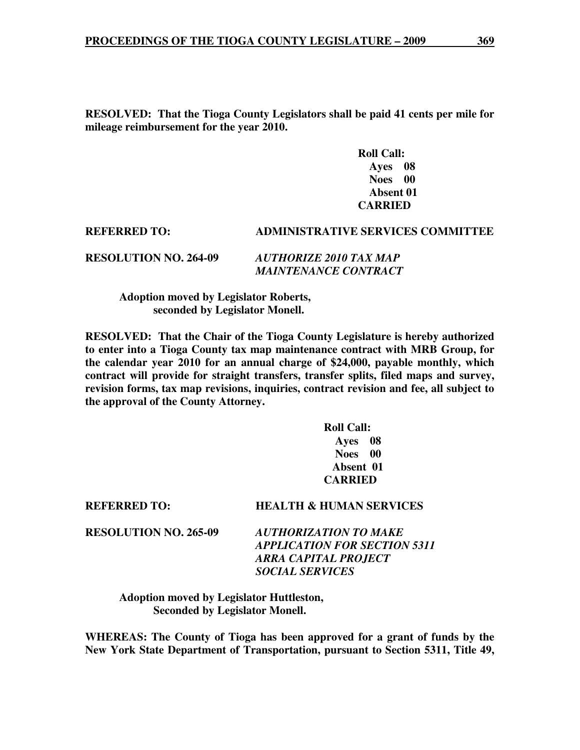**RESOLVED: That the Tioga County Legislators shall be paid 41 cents per mile for mileage reimbursement for the year 2010.** 

> **Roll Call: Ayes 08 Noes 00 Absent 01 CARRIED**

# **REFERRED TO: ADMINISTRATIVE SERVICES COMMITTEE RESOLUTION NO. 264-09** *AUTHORIZE 2010 TAX MAP MAINTENANCE CONTRACT*

 **Adoption moved by Legislator Roberts, seconded by Legislator Monell.** 

**RESOLVED: That the Chair of the Tioga County Legislature is hereby authorized to enter into a Tioga County tax map maintenance contract with MRB Group, for the calendar year 2010 for an annual charge of \$24,000, payable monthly, which contract will provide for straight transfers, transfer splits, filed maps and survey, revision forms, tax map revisions, inquiries, contract revision and fee, all subject to the approval of the County Attorney.** 

> **Roll Call: Ayes 08 Noes 00 Absent 01 CARRIED**

**RESOLUTION NO. 265-09** *AUTHORIZATION TO MAKE APPLICATION FOR SECTION 5311 ARRA CAPITAL PROJECT SOCIAL SERVICES* 

**REFERRED TO: HEALTH & HUMAN SERVICES** 

 **Adoption moved by Legislator Huttleston, Seconded by Legislator Monell.** 

**WHEREAS: The County of Tioga has been approved for a grant of funds by the New York State Department of Transportation, pursuant to Section 5311, Title 49,**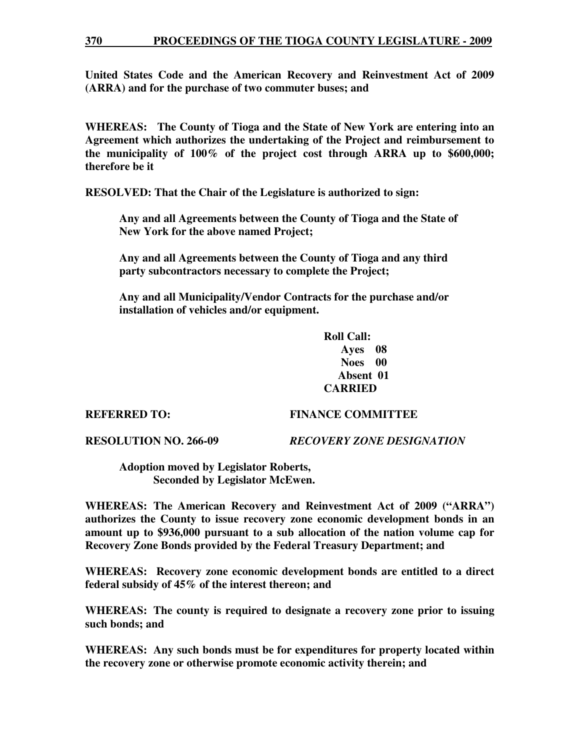### **370 PROCEEDINGS OF THE TIOGA COUNTY LEGISLATURE - 2009**

**United States Code and the American Recovery and Reinvestment Act of 2009 (ARRA) and for the purchase of two commuter buses; and** 

**WHEREAS: The County of Tioga and the State of New York are entering into an Agreement which authorizes the undertaking of the Project and reimbursement to the municipality of 100% of the project cost through ARRA up to \$600,000; therefore be it** 

**RESOLVED: That the Chair of the Legislature is authorized to sign:** 

 **Any and all Agreements between the County of Tioga and the State of New York for the above named Project;** 

 **Any and all Agreements between the County of Tioga and any third party subcontractors necessary to complete the Project;** 

 **Any and all Municipality/Vendor Contracts for the purchase and/or installation of vehicles and/or equipment.** 

> **Roll Call: Ayes 08 Noes 00 Absent 01 CARRIED**

#### **REFERRED TO: FINANCE COMMITTEE**

**RESOLUTION NO. 266-09** *RECOVERY ZONE DESIGNATION* 

 **Adoption moved by Legislator Roberts, Seconded by Legislator McEwen.** 

**WHEREAS: The American Recovery and Reinvestment Act of 2009 ("ARRA") authorizes the County to issue recovery zone economic development bonds in an amount up to \$936,000 pursuant to a sub allocation of the nation volume cap for Recovery Zone Bonds provided by the Federal Treasury Department; and** 

**WHEREAS: Recovery zone economic development bonds are entitled to a direct federal subsidy of 45% of the interest thereon; and**

**WHEREAS: The county is required to designate a recovery zone prior to issuing such bonds; and** 

**WHEREAS: Any such bonds must be for expenditures for property located within the recovery zone or otherwise promote economic activity therein; and**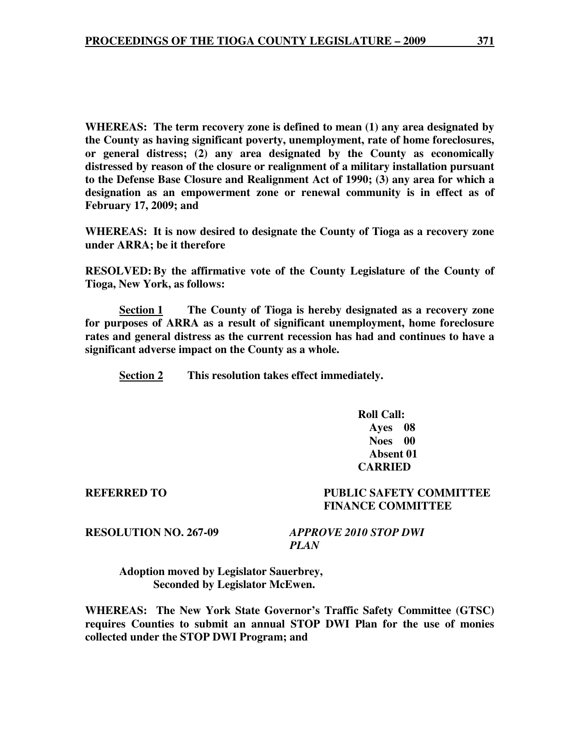**WHEREAS: The term recovery zone is defined to mean (1) any area designated by the County as having significant poverty, unemployment, rate of home foreclosures, or general distress; (2) any area designated by the County as economically distressed by reason of the closure or realignment of a military installation pursuant to the Defense Base Closure and Realignment Act of 1990; (3) any area for which a designation as an empowerment zone or renewal community is in effect as of February 17, 2009; and** 

**WHEREAS: It is now desired to designate the County of Tioga as a recovery zone under ARRA; be it therefore** 

**RESOLVED: By the affirmative vote of the County Legislature of the County of Tioga, New York, as follows:** 

**<u>Section 1</u> The County of Tioga is hereby designated as a recovery zone for purposes of ARRA as a result of significant unemployment, home foreclosure rates and general distress as the current recession has had and continues to have a significant adverse impact on the County as a whole.** 

 **Section 2 This resolution takes effect immediately.** 

 **Roll Call: Ayes 08 Noes 00 Absent 01 CARRIED** 

**REFERRED TO PUBLIC SAFETY COMMITTEE FINANCE COMMITTEE** 

**RESOLUTION NO. 267-09** *APPROVE 2010 STOP DWI PLAN* 

 **Adoption moved by Legislator Sauerbrey, Seconded by Legislator McEwen.** 

**WHEREAS: The New York State Governor's Traffic Safety Committee (GTSC) requires Counties to submit an annual STOP DWI Plan for the use of monies collected under the STOP DWI Program; and**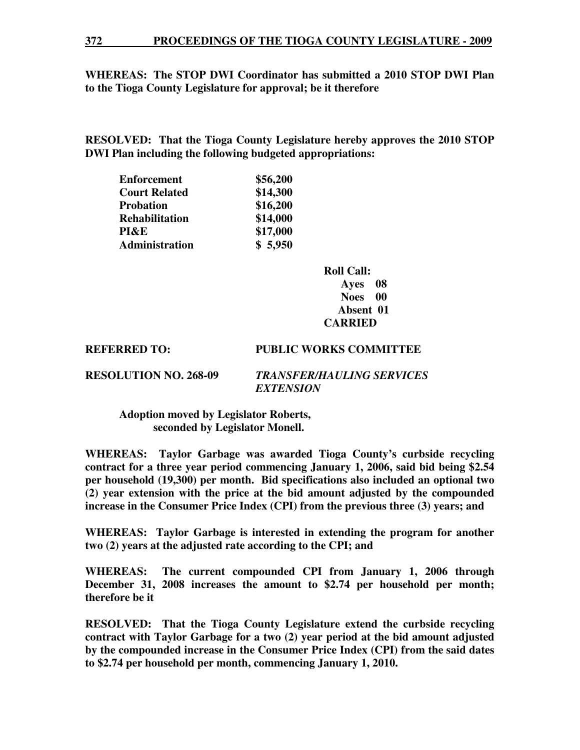### **372 PROCEEDINGS OF THE TIOGA COUNTY LEGISLATURE - 2009**

### **WHEREAS: The STOP DWI Coordinator has submitted a 2010 STOP DWI Plan to the Tioga County Legislature for approval; be it therefore**

**RESOLVED: That the Tioga County Legislature hereby approves the 2010 STOP DWI Plan including the following budgeted appropriations:** 

| <b>Enforcement</b>    | \$56,200 |
|-----------------------|----------|
| <b>Court Related</b>  | \$14,300 |
| <b>Probation</b>      | \$16,200 |
| <b>Rehabilitation</b> | \$14,000 |
| PI&E                  | \$17,000 |
| Administration        | \$5,950  |

 **Roll Call: Ayes 08 Noes 00 Absent 01 CARRIED** 

**REFERRED TO: PUBLIC WORKS COMMITTEE** 

**RESOLUTION NO. 268-09** *TRANSFER/HAULING SERVICES EXTENSION* 

 **Adoption moved by Legislator Roberts, seconded by Legislator Monell.** 

**WHEREAS: Taylor Garbage was awarded Tioga County's curbside recycling contract for a three year period commencing January 1, 2006, said bid being \$2.54 per household (19,300) per month. Bid specifications also included an optional two (2) year extension with the price at the bid amount adjusted by the compounded increase in the Consumer Price Index (CPI) from the previous three (3) years; and** 

**WHEREAS: Taylor Garbage is interested in extending the program for another two (2) years at the adjusted rate according to the CPI; and** 

**WHEREAS: The current compounded CPI from January 1, 2006 through December 31, 2008 increases the amount to \$2.74 per household per month; therefore be it** 

**RESOLVED: That the Tioga County Legislature extend the curbside recycling contract with Taylor Garbage for a two (2) year period at the bid amount adjusted by the compounded increase in the Consumer Price Index (CPI) from the said dates to \$2.74 per household per month, commencing January 1, 2010.**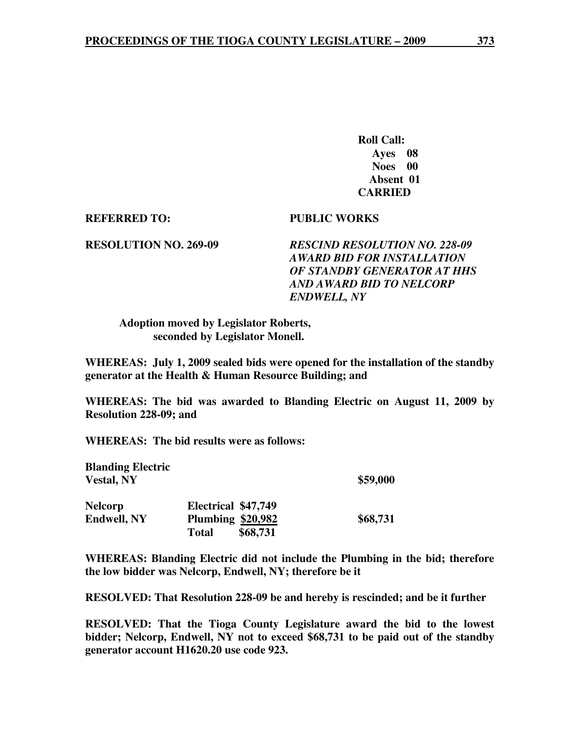**Roll Call: Ayes 08 Noes 00 Absent 01 CARRIED** 

### **REFERRED TO: PUBLIC WORKS**

**RESOLUTION NO. 269-09** *RESCIND RESOLUTION NO. 228-09 AWARD BID FOR INSTALLATION OF STANDBY GENERATOR AT HHS AND AWARD BID TO NELCORP ENDWELL, NY* 

 **Adoption moved by Legislator Roberts, seconded by Legislator Monell.** 

**WHEREAS: July 1, 2009 sealed bids were opened for the installation of the standby generator at the Health & Human Resource Building; and** 

**WHEREAS: The bid was awarded to Blanding Electric on August 11, 2009 by Resolution 228-09; and** 

**WHEREAS: The bid results were as follows:** 

| <b>Blanding Electric</b> |                          |          |
|--------------------------|--------------------------|----------|
| <b>Vestal, NY</b>        |                          | \$59,000 |
| <b>Nelcorp</b>           | Electrical \$47,749      |          |
| <b>Endwell, NY</b>       | <b>Plumbing \$20,982</b> | \$68,731 |
|                          | \$68,731<br><b>Total</b> |          |

**WHEREAS: Blanding Electric did not include the Plumbing in the bid; therefore the low bidder was Nelcorp, Endwell, NY; therefore be it** 

**RESOLVED: That Resolution 228-09 be and hereby is rescinded; and be it further** 

**RESOLVED: That the Tioga County Legislature award the bid to the lowest bidder; Nelcorp, Endwell, NY not to exceed \$68,731 to be paid out of the standby generator account H1620.20 use code 923.**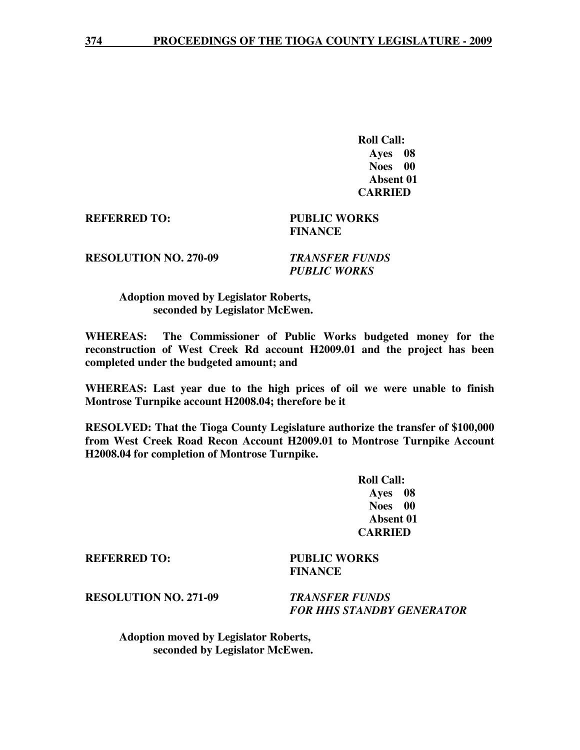**Roll Call: Ayes 08 Noes 00 Absent 01 CARRIED** 

**REFERRED TO: PUBLIC WORKS** 

# **FINANCE**

**RESOLUTION NO. 270-09** *TRANSFER FUNDS* 

 *PUBLIC WORKS* 

## **Adoption moved by Legislator Roberts, seconded by Legislator McEwen.**

**WHEREAS: The Commissioner of Public Works budgeted money for the reconstruction of West Creek Rd account H2009.01 and the project has been completed under the budgeted amount; and** 

**WHEREAS: Last year due to the high prices of oil we were unable to finish Montrose Turnpike account H2008.04; therefore be it**

**RESOLVED: That the Tioga County Legislature authorize the transfer of \$100,000 from West Creek Road Recon Account H2009.01 to Montrose Turnpike Account H2008.04 for completion of Montrose Turnpike.** 

> **Roll Call: Ayes 08 Noes 00 Absent 01 CARRIED**

**REFERRED TO: PUBLIC WORKS** 

 **FINANCE** 

**RESOLUTION NO. 271-09** *TRANSFER FUNDS* 

 *FOR HHS STANDBY GENERATOR* 

 **Adoption moved by Legislator Roberts, seconded by Legislator McEwen.**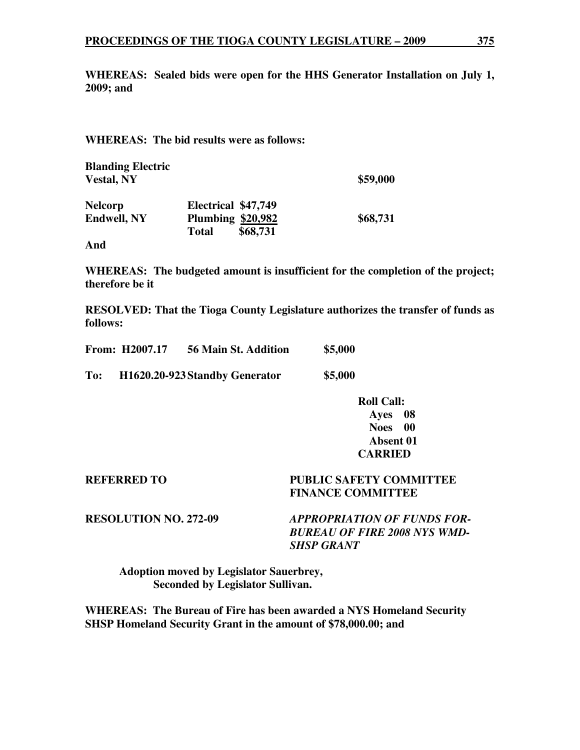**WHEREAS: Sealed bids were open for the HHS Generator Installation on July 1, 2009; and** 

# **WHEREAS: The bid results were as follows:**

**Blanding Electric Vestal, NY \$59,000** 

**Nelcorp Electrical \$47,749 Endwell, NY Plumbing \$20,982 \$68,731 Total \$68,731** 

**And** 

**WHEREAS: The budgeted amount is insufficient for the completion of the project; therefore be it** 

**RESOLVED: That the Tioga County Legislature authorizes the transfer of funds as follows:** 

|     | <b>From: H2007.17</b> | 56 Main St. Addition           | \$5,000 |
|-----|-----------------------|--------------------------------|---------|
| To: |                       | H1620.20-923 Standby Generator | \$5,000 |

 **Roll Call: Ayes 08 Noes 00 Absent 01 CARRIED** 

# **REFERRED TO PUBLIC SAFETY COMMITTEE FINANCE COMMITTEE**

**RESOLUTION NO. 272-09** *APPROPRIATION OF FUNDS FOR-BUREAU OF FIRE 2008 NYS WMD-SHSP GRANT* 

 **Adoption moved by Legislator Sauerbrey, Seconded by Legislator Sullivan.** 

**WHEREAS: The Bureau of Fire has been awarded a NYS Homeland Security SHSP Homeland Security Grant in the amount of \$78,000.00; and**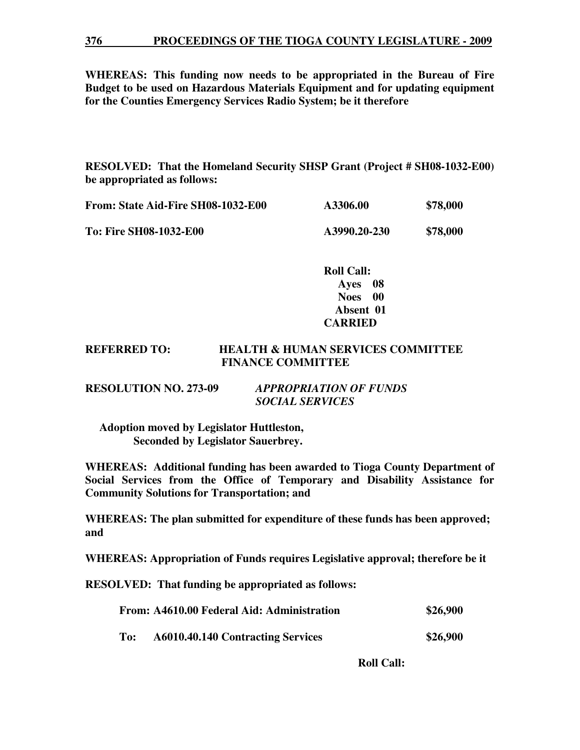#### **376 PROCEEDINGS OF THE TIOGA COUNTY LEGISLATURE - 2009**

**WHEREAS: This funding now needs to be appropriated in the Bureau of Fire Budget to be used on Hazardous Materials Equipment and for updating equipment for the Counties Emergency Services Radio System; be it therefore** 

**RESOLVED: That the Homeland Security SHSP Grant (Project # SH08-1032-E00) be appropriated as follows:** 

| From: State Aid-Fire SH08-1032-E00 | A3306.00     | \$78,000 |
|------------------------------------|--------------|----------|
| <b>To: Fire SH08-1032-E00</b>      | A3990.20-230 | \$78,000 |

 **Roll Call: Ayes 08 Noes 00 Absent 01 CARRIED** 

# **REFERRED TO: HEALTH & HUMAN SERVICES COMMITTEE FINANCE COMMITTEE**

| <b>RESOLUTION NO. 273-09</b> | <b>APPROPRIATION OF FUNDS</b> |
|------------------------------|-------------------------------|
|                              | <b>SOCIAL SERVICES</b>        |

 **Adoption moved by Legislator Huttleston, Seconded by Legislator Sauerbrey.** 

**WHEREAS: Additional funding has been awarded to Tioga County Department of Social Services from the Office of Temporary and Disability Assistance for Community Solutions for Transportation; and** 

**WHEREAS: The plan submitted for expenditure of these funds has been approved; and** 

**WHEREAS: Appropriation of Funds requires Legislative approval; therefore be it** 

**RESOLVED: That funding be appropriated as follows:**

|     | From: A4610.00 Federal Aid: Administration | \$26,900 |
|-----|--------------------------------------------|----------|
| To: | A6010.40.140 Contracting Services          | \$26,900 |

 **Roll Call:**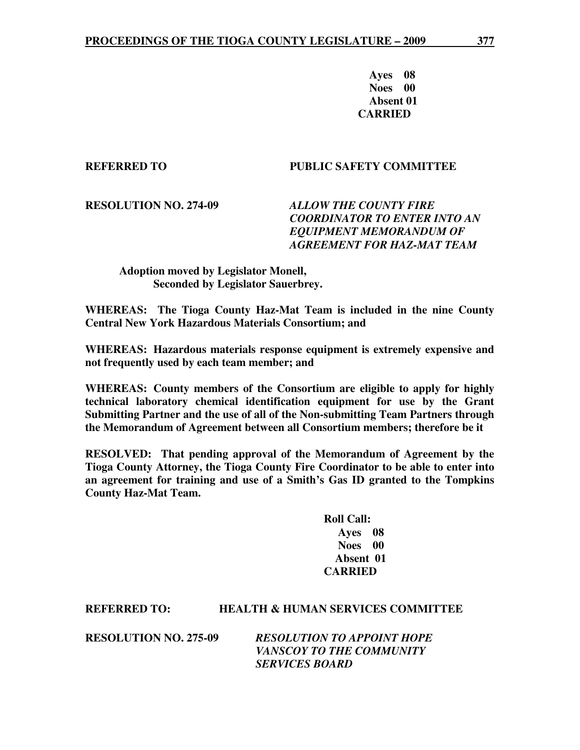**Ayes 08 Noes 00 Absent 01 CARRIED** 

# **REFERRED TO PUBLIC SAFETY COMMITTEE**

**RESOLUTION NO. 274-09** *ALLOW THE COUNTY FIRE COORDINATOR TO ENTER INTO AN EQUIPMENT MEMORANDUM OF AGREEMENT FOR HAZ-MAT TEAM* 

# **Adoption moved by Legislator Monell, Seconded by Legislator Sauerbrey.**

**WHEREAS: The Tioga County Haz-Mat Team is included in the nine County Central New York Hazardous Materials Consortium; and** 

**WHEREAS: Hazardous materials response equipment is extremely expensive and not frequently used by each team member; and** 

**WHEREAS: County members of the Consortium are eligible to apply for highly technical laboratory chemical identification equipment for use by the Grant Submitting Partner and the use of all of the Non-submitting Team Partners through the Memorandum of Agreement between all Consortium members; therefore be it** 

**RESOLVED: That pending approval of the Memorandum of Agreement by the Tioga County Attorney, the Tioga County Fire Coordinator to be able to enter into an agreement for training and use of a Smith's Gas ID granted to the Tompkins County Haz-Mat Team.** 

> **Roll Call: Ayes 08 Noes 00 Absent 01 CARRIED**

# **REFERRED TO: HEALTH & HUMAN SERVICES COMMITTEE**

**RESOLUTION NO. 275-09** *RESOLUTION TO APPOINT HOPE VANSCOY TO THE COMMUNITY SERVICES BOARD*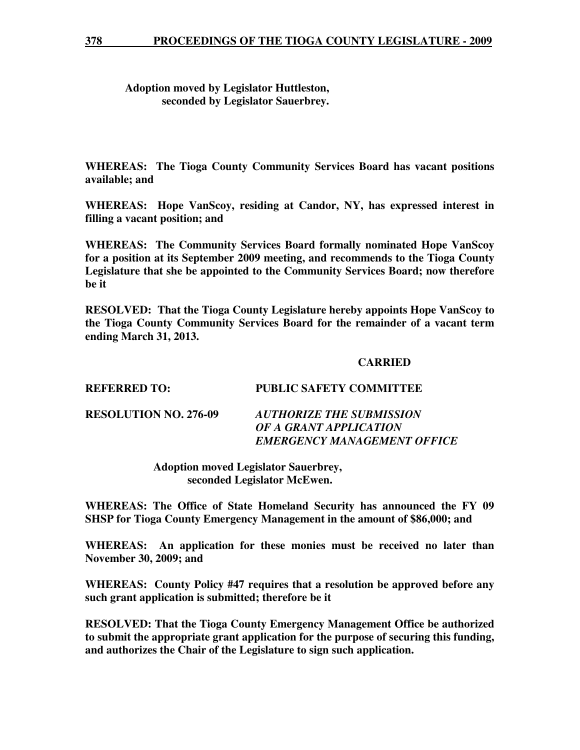# **Adoption moved by Legislator Huttleston, seconded by Legislator Sauerbrey.**

**WHEREAS: The Tioga County Community Services Board has vacant positions available; and** 

**WHEREAS: Hope VanScoy, residing at Candor, NY, has expressed interest in filling a vacant position; and** 

**WHEREAS: The Community Services Board formally nominated Hope VanScoy for a position at its September 2009 meeting, and recommends to the Tioga County Legislature that she be appointed to the Community Services Board; now therefore be it** 

**RESOLVED: That the Tioga County Legislature hereby appoints Hope VanScoy to the Tioga County Community Services Board for the remainder of a vacant term ending March 31, 2013.** 

# **CARRIED**

**REFERRED TO: PUBLIC SAFETY COMMITTEE RESOLUTION NO. 276-09** *AUTHORIZE THE SUBMISSION OF A GRANT APPLICATION EMERGENCY MANAGEMENT OFFICE* 

> **Adoption moved Legislator Sauerbrey, seconded Legislator McEwen.**

**WHEREAS: The Office of State Homeland Security has announced the FY 09 SHSP for Tioga County Emergency Management in the amount of \$86,000; and** 

**WHEREAS: An application for these monies must be received no later than November 30, 2009; and** 

**WHEREAS: County Policy #47 requires that a resolution be approved before any such grant application is submitted; therefore be it** 

**RESOLVED: That the Tioga County Emergency Management Office be authorized to submit the appropriate grant application for the purpose of securing this funding, and authorizes the Chair of the Legislature to sign such application.**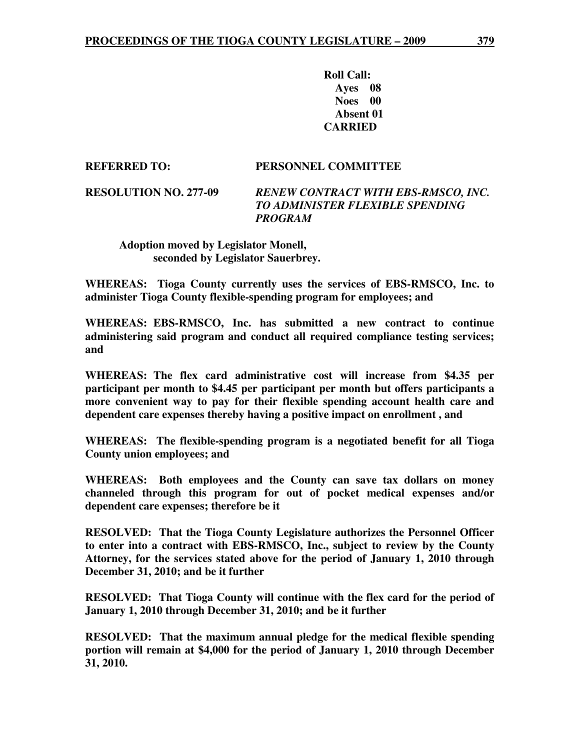**Roll Call: Ayes 08 Noes 00 Absent 01 CARRIED** 

**REFERRED TO: PERSONNEL COMMITTEE** 

**RESOLUTION NO. 277-09** *RENEW CONTRACT WITH EBS-RMSCO, INC. TO ADMINISTER FLEXIBLE SPENDING PROGRAM* 

 **Adoption moved by Legislator Monell, seconded by Legislator Sauerbrey.** 

**WHEREAS: Tioga County currently uses the services of EBS-RMSCO, Inc. to administer Tioga County flexible-spending program for employees; and** 

**WHEREAS: EBS-RMSCO, Inc. has submitted a new contract to continue administering said program and conduct all required compliance testing services; and** 

**WHEREAS: The flex card administrative cost will increase from \$4.35 per participant per month to \$4.45 per participant per month but offers participants a more convenient way to pay for their flexible spending account health care and dependent care expenses thereby having a positive impact on enrollment , and** 

**WHEREAS: The flexible-spending program is a negotiated benefit for all Tioga County union employees; and** 

**WHEREAS: Both employees and the County can save tax dollars on money channeled through this program for out of pocket medical expenses and/or dependent care expenses; therefore be it** 

**RESOLVED: That the Tioga County Legislature authorizes the Personnel Officer to enter into a contract with EBS-RMSCO, Inc., subject to review by the County Attorney, for the services stated above for the period of January 1, 2010 through December 31, 2010; and be it further** 

**RESOLVED: That Tioga County will continue with the flex card for the period of January 1, 2010 through December 31, 2010; and be it further** 

**RESOLVED: That the maximum annual pledge for the medical flexible spending portion will remain at \$4,000 for the period of January 1, 2010 through December 31, 2010.**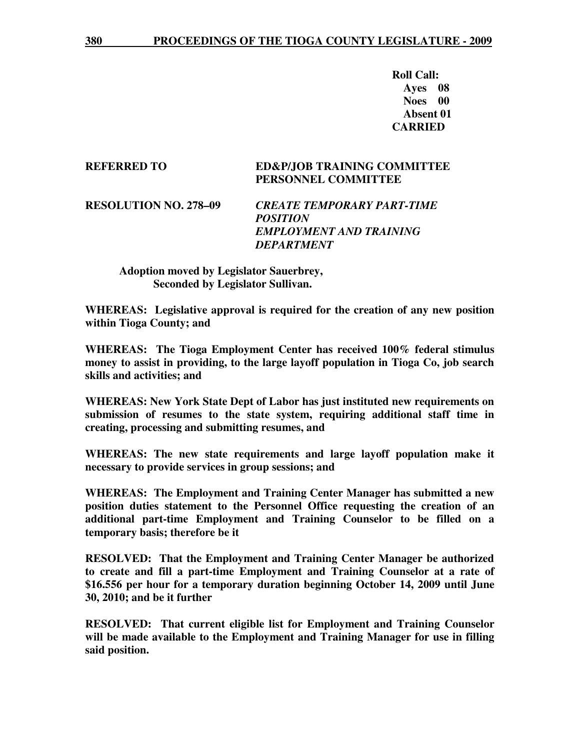**Roll Call: Ayes 08 Noes 00 Absent 01 CARRIED** 

## **REFERRED TO ED&P/JOB TRAINING COMMITTEE PERSONNEL COMMITTEE**

**RESOLUTION NO. 278–09** *CREATE TEMPORARY PART-TIME POSITION EMPLOYMENT AND TRAINING DEPARTMENT* 

 **Adoption moved by Legislator Sauerbrey, Seconded by Legislator Sullivan.** 

**WHEREAS: Legislative approval is required for the creation of any new position within Tioga County; and** 

**WHEREAS: The Tioga Employment Center has received 100% federal stimulus money to assist in providing, to the large layoff population in Tioga Co, job search skills and activities; and** 

**WHEREAS: New York State Dept of Labor has just instituted new requirements on submission of resumes to the state system, requiring additional staff time in creating, processing and submitting resumes, and** 

**WHEREAS: The new state requirements and large layoff population make it necessary to provide services in group sessions; and** 

**WHEREAS: The Employment and Training Center Manager has submitted a new position duties statement to the Personnel Office requesting the creation of an additional part-time Employment and Training Counselor to be filled on a temporary basis; therefore be it** 

**RESOLVED: That the Employment and Training Center Manager be authorized to create and fill a part-time Employment and Training Counselor at a rate of \$16.556 per hour for a temporary duration beginning October 14, 2009 until June 30, 2010; and be it further** 

**RESOLVED: That current eligible list for Employment and Training Counselor will be made available to the Employment and Training Manager for use in filling said position.**